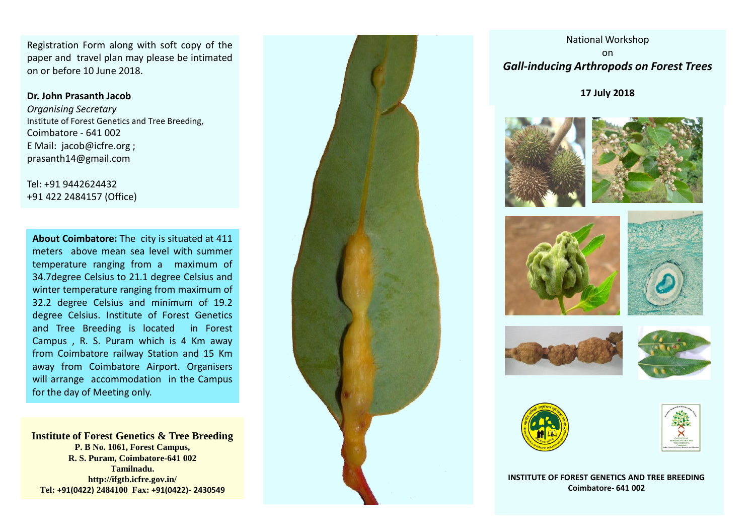Registration Form along with soft copy of the paper and travel plan may please be intimated on or before 10 June 2018.

# **Dr. John Prasanth Jacob**

*Organising Secretary* Institute of Forest Genetics and Tree Breeding, Coimbatore - 641 002 E Mail: jacob@icfre.org ; prasanth14@gmail.com

Tel: +91 9442624432 +91 422 2484157 (Office)

**About Coimbatore:** The city is situated at 411 meters above mean sea level with summer temperature ranging from a maximum of 34.7degree Celsius to 21.1 degree Celsius and winter temperature ranging from maximum of 32.2 degree Celsius and minimum of 19.2 degree Celsius. Institute of Forest Genetics and Tree Breeding is located in Forest Campus , R. S. Puram which is 4 Km away from Coimbatore railway Station and 15 Km away from Coimbatore Airport. Organisers will arrange accommodation in the Campus for the day of Meeting only.

**Institute of Forest Genetics & Tree Breeding P. B No. 1061, Forest Campus, R. S. Puram, Coimbatore-641 002 Tamilnadu. http://ifgtb.icfre.gov.in/ Tel: +91(0422) 2484100 Fax: +91(0422)- 2430549**



National Workshop on *Gall-inducing Arthropods on Forest Trees*

**17 July 2018** 















**INSTITUTE OF FOREST GENETICS AND TREE BREEDING Coimbatore- 641 002**